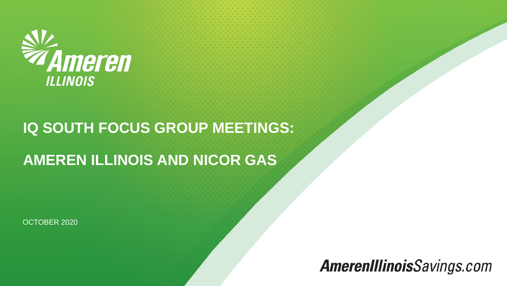

## **IQ SOUTH FOCUS GROUP MEETINGS:**

# **AMEREN ILLINOIS AND NICOR GAS**

OCTOBER 2020

# **AmerenIllinoisSavings.com**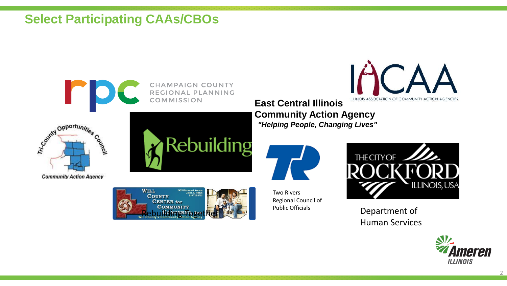### **Select Participating CAAs/CBOs**



**CHAMPAIGN COUNTY** REGIONAL PLANNING **COMMISSION** 



**Community Action Agency** 





ILLINOIS ASSOCIATION OF COMMUNITY ACTION AGENCIES **East Central Illinois Community Action Agency** *"Helping People, Changing Lives"*



Two Rivers Regional Council of Public Officials



Department of Human Services

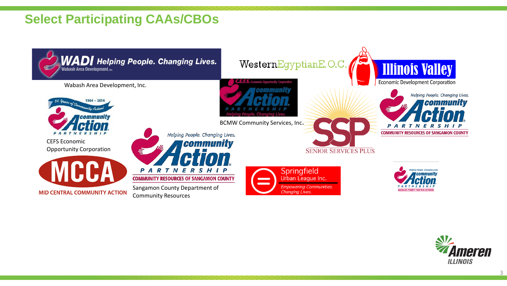## **Select Participating CAAs/CBOs**



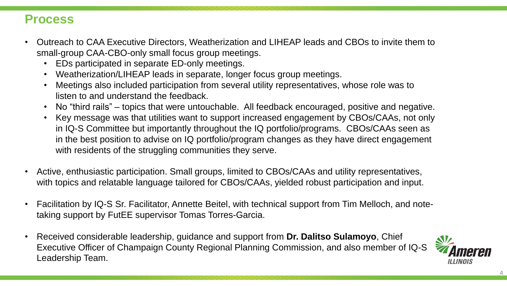#### **Process**

- Outreach to CAA Executive Directors, Weatherization and LIHEAP leads and CBOs to invite them to small-group CAA-CBO-only small focus group meetings.
	- EDs participated in separate ED-only meetings.
	- Weatherization/LIHEAP leads in separate, longer focus group meetings.
	- Meetings also included participation from several utility representatives, whose role was to listen to and understand the feedback.
	- No "third rails" topics that were untouchable. All feedback encouraged, positive and negative.
	- Key message was that utilities want to support increased engagement by CBOs/CAAs, not only in IQ-S Committee but importantly throughout the IQ portfolio/programs. CBOs/CAAs seen as in the best position to advise on IQ portfolio/program changes as they have direct engagement with residents of the struggling communities they serve.
- Active, enthusiastic participation. Small groups, limited to CBOs/CAAs and utility representatives, with topics and relatable language tailored for CBOs/CAAs, yielded robust participation and input.
- Facilitation by IQ-S Sr. Facilitator, Annette Beitel, with technical support from Tim Melloch, and notetaking support by FutEE supervisor Tomas Torres-Garcia.
- Received considerable leadership, guidance and support from **Dr. Dalitso Sulamoyo**, Chief Executive Officer of Champaign County Regional Planning Commission, and also member of IQ-S Leadership Team.

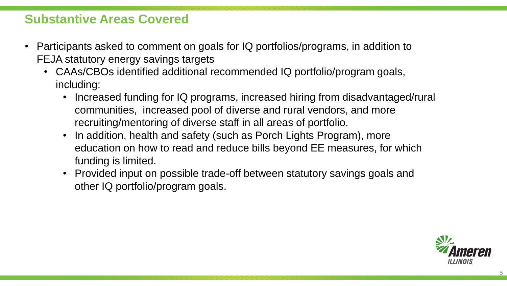#### **Substantive Areas Covered**

- Participants asked to comment on goals for IQ portfolios/programs, in addition to FEJA statutory energy savings targets
	- CAAs/CBOs identified additional recommended IQ portfolio/program goals, including:
		- Increased funding for IQ programs, increased hiring from disadvantaged/rural communities, increased pool of diverse and rural vendors, and more recruiting/mentoring of diverse staff in all areas of portfolio.
		- In addition, health and safety (such as Porch Lights Program), more education on how to read and reduce bills beyond EE measures, for which funding is limited.
		- Provided input on possible trade-off between statutory savings goals and other IQ portfolio/program goals.

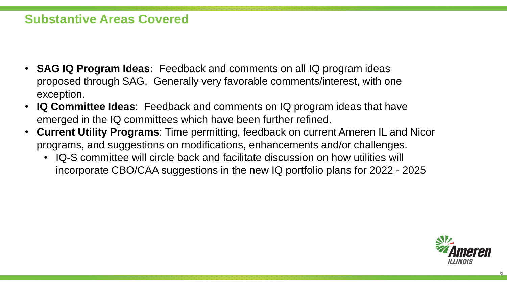#### **Substantive Areas Covered**

- **SAG IQ Program Ideas:** Feedback and comments on all IQ program ideas proposed through SAG. Generally very favorable comments/interest, with one exception.
- **IQ Committee Ideas**: Feedback and comments on IQ program ideas that have emerged in the IQ committees which have been further refined.
- **Current Utility Programs**: Time permitting, feedback on current Ameren IL and Nicor programs, and suggestions on modifications, enhancements and/or challenges.
	- IQ-S committee will circle back and facilitate discussion on how utilities will incorporate CBO/CAA suggestions in the new IQ portfolio plans for 2022 - 2025

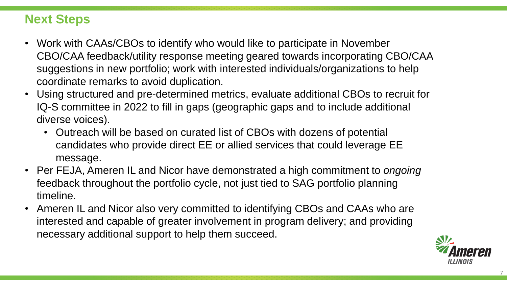## **Next Steps**

- Work with CAAs/CBOs to identify who would like to participate in November CBO/CAA feedback/utility response meeting geared towards incorporating CBO/CAA suggestions in new portfolio; work with interested individuals/organizations to help coordinate remarks to avoid duplication.
- Using structured and pre-determined metrics, evaluate additional CBOs to recruit for IQ-S committee in 2022 to fill in gaps (geographic gaps and to include additional diverse voices).
	- Outreach will be based on curated list of CBOs with dozens of potential candidates who provide direct EE or allied services that could leverage EE message.
- Per FEJA, Ameren IL and Nicor have demonstrated a high commitment to *ongoing* feedback throughout the portfolio cycle, not just tied to SAG portfolio planning timeline.
- Ameren IL and Nicor also very committed to identifying CBOs and CAAs who are interested and capable of greater involvement in program delivery; and providing necessary additional support to help them succeed.